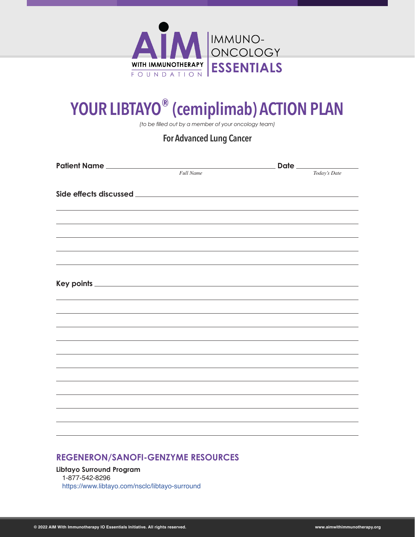

# **YOUR LIBTAYO® (cemiplimab) ACTION PLAN**

*(to be filled out by a member of your oncology team)*

#### **For Advanced Lung Cancer**

| Patient Name                                                                     |                  |              |
|----------------------------------------------------------------------------------|------------------|--------------|
|                                                                                  | <b>Full Name</b> | Today's Date |
|                                                                                  |                  |              |
|                                                                                  |                  |              |
|                                                                                  |                  |              |
|                                                                                  |                  |              |
|                                                                                  |                  |              |
|                                                                                  |                  |              |
|                                                                                  |                  |              |
|                                                                                  |                  |              |
|                                                                                  |                  |              |
|                                                                                  |                  |              |
|                                                                                  |                  |              |
|                                                                                  |                  |              |
|                                                                                  |                  |              |
|                                                                                  |                  |              |
|                                                                                  |                  |              |
| ,我们也不会有什么。""我们的人,我们也不会有什么?""我们的人,我们也不会有什么?""我们的人,我们也不会有什么?""我们的人,我们也不会有什么?""我们的人 |                  |              |
|                                                                                  |                  |              |
|                                                                                  |                  |              |
|                                                                                  |                  |              |
|                                                                                  |                  |              |
|                                                                                  |                  |              |

#### **REGENERON/SANOFI-GENZYME RESOURCES**

**Libtayo Surround Program** 1-877-542-8296 <https://www.libtayo.com/nsclc/libtayo-surround>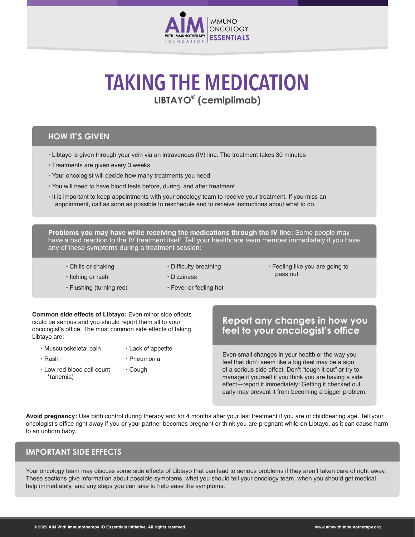

# **LIBTAYO® (cemiplimab) TAKING THE MEDICATION**

#### **HOW IT'S GIVEN**

- Libtayo is given through your vein via an intravenous (IV) line. The treatment takes 30 minutes
- Treatments are given every 3 weeks
- Your oncologist will decide how many treatments you need
- You will need to have blood tests before, during, and after treatment
- It is important to keep appointments with your oncology team to receive your treatment. If you miss an appointment, call as soon as possible to reschedule and to receive instructions about what to do.

**Problems you may have while receiving the medications through the IV line:** Some people may have a bad reaction to the IV treatment itself. Tell your healthcare team member immediately if you have any of these symptoms during a treatment session:

- Chills or shaking • Itching or rash
- Difficulty breathing
- Feeling like you are going to pass out

- Flushing (turning red)
- Fever or feeling hot

• Dizziness

- **Common side effects of Libtayo:** Even minor side effects could be serious and you should report them all to your oncologist's office. The most common side effects of taking Libtayo are:
	- Musculoskeletal pain
- Lack of appetite
- Rash
- Pneumonia
- Low red blood cell count \*(anemia) • Cough

#### **Report any changes in how you feel to your oncologist's office**

Even small changes in your health or the way you feel that don't seem like a big deal may be a sign of a serious side effect. Don't "tough it out" or try to manage it yourself if you think you are having a side effect—report it immediately! Getting it checked out early may prevent it from becoming a bigger problem.

**Avoid pregnancy:** Use birth control during therapy and for 4 months after your last treatment if you are of childbearing age. Tell your oncologist's office right away if you or your partner becomes pregnant or think you are pregnant while on Libtayo, as it can cause harm to an unborn baby.

#### **IMPORTANT SIDE EFFECTS**

Your oncology team may discuss some side effects of Libtayo that can lead to serious problems if they aren't taken care of right away. These sections give information about possible symptoms, what you should tell your oncology team, when you should get medical help immediately, and any steps you can take to help ease the symptoms.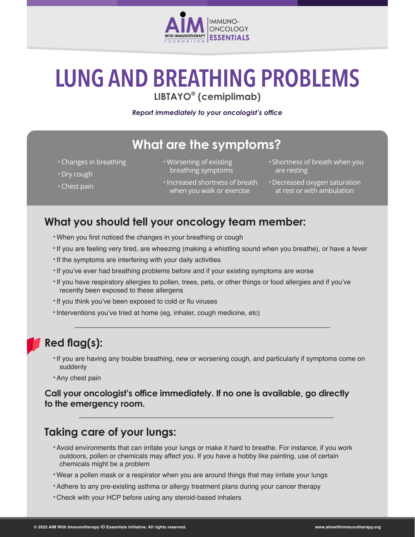

# **LUNG AND BREATHING PROBLEMS LIBTAYO® (cemiplimab)**

*Report immediately to your oncologist's office*

## **What are the symptoms?**

- Changes in breathing
- Dry cough
- Chest pain
- Worsening of existing breathing symptoms
- •Increased shortness of breath Decreased oxygen saturation when you walk or exercise
- Shortness of breath when you are resting
- at rest or with ambulation

#### **What you should tell your oncology team member:**

- •When you first noticed the changes in your breathing or cough
- •If you are feeling very tired, are wheezing (making a whistling sound when you breathe), or have a fever
- •If the symptoms are interfering with your daily activities
- •If you've ever had breathing problems before and if your existing symptoms are worse
- •If you have respiratory allergies to pollen, trees, pets, or other things or food allergies and if you've recently been exposed to these allergens
- •If you think you've been exposed to cold or flu viruses
- •Interventions you've tried at home (eg, inhaler, cough medicine, etc)

#### **Red flag(s):**

- •If you are having any trouble breathing, new or worsening cough, and particularly if symptoms come on suddenly
- •Any chest pain

#### **Call your oncologist's office immediately. If no one is available, go directly to the emergency room.**

#### **Taking care of your lungs:**

- •Avoid environments that can irritate your lungs or make it hard to breathe. For instance, if you work outdoors, pollen or chemicals may affect you. If you have a hobby like painting, use of certain chemicals might be a problem
- •Wear a pollen mask or a respirator when you are around things that may irritate your lungs
- •Adhere to any pre-existing asthma or allergy treatment plans during your cancer therapy
- •Check with your HCP before using any steroid-based inhalers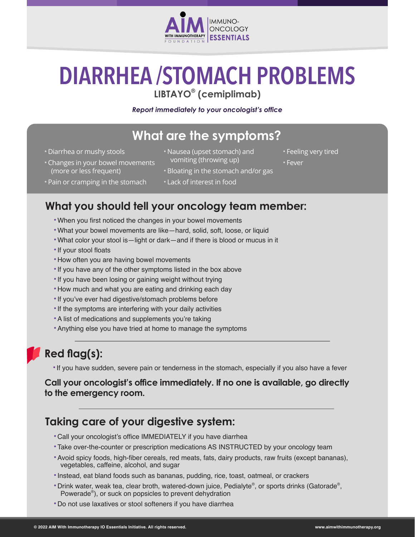

# **DIARRHEA /STOMACH PROBLEMS**

**LIBTAYO® (cemiplimab)**

#### *Report immediately to your oncologist's office*

## **What are the symptoms?**

- Diarrhea or mushy stools
- Nausea (upset stomach) and
- Changes in your bowel movements (more or less frequent)
- vomiting (throwing up)
- Bloating in the stomach and/or gas

• Feeling very tired

• Fever

- Pain or cramping in the stomach
- Lack of interest in food

#### **What you should tell your oncology team member:**

- •When you first noticed the changes in your bowel movements
- •What your bowel movements are like—hard, solid, soft, loose, or liquid
- •What color your stool is—light or dark—and if there is blood or mucus in it
- •If your stool floats
- •How often you are having bowel movements
- •If you have any of the other symptoms listed in the box above
- •If you have been losing or gaining weight without trying
- •How much and what you are eating and drinking each day
- •If you've ever had digestive/stomach problems before
- •If the symptoms are interfering with your daily activities
- •A list of medications and supplements you're taking
- •Anything else you have tried at home to manage the symptoms

### **Red flag(s):**

•If you have sudden, severe pain or tenderness in the stomach, especially if you also have a fever

#### **Call your oncologist's office immediately. If no one is available, go directly to the emergency room.**

#### **Taking care of your digestive system:**

- •Call your oncologist's office IMMEDIATELY if you have diarrhea
- •Take over-the-counter or prescription medications AS INSTRUCTED by your oncology team
- •Avoid spicy foods, high-fiber cereals, red meats, fats, dairy products, raw fruits (except bananas), vegetables, caffeine, alcohol, and sugar
- •Instead, eat bland foods such as bananas, pudding, rice, toast, oatmeal, or crackers
- •Drink water, weak tea, clear broth, watered-down juice, Pedialyte® , or sports drinks (Gatorade® , Powerade® ), or suck on popsicles to prevent dehydration
- •Do not use laxatives or stool softeners if you have diarrhea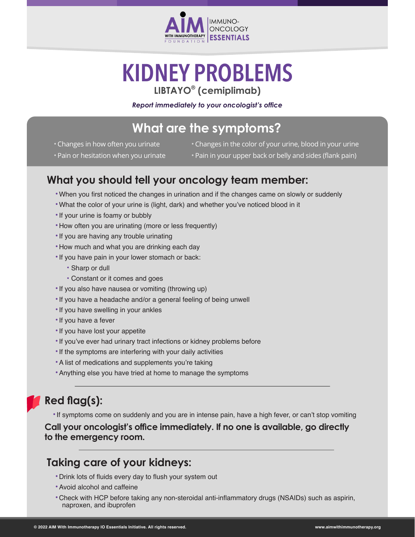

# **KIDNEY PROBLEMS LIBTAYO® (cemiplimab)**

*Report immediately to your oncologist's office*

## **What are the symptoms?**

• Changes in how often you urinate

• Changes in the color of your urine, blood in your urine

- Pain or hesitation when you urinate
- Pain in your upper back or belly and sides (flank pain)
- **What you should tell your oncology team member:**
	- •When you first noticed the changes in urination and if the changes came on slowly or suddenly
	- •What the color of your urine is (light, dark) and whether you've noticed blood in it
	- •If your urine is foamy or bubbly
	- •How often you are urinating (more or less frequently)
	- •If you are having any trouble urinating
	- •How much and what you are drinking each day
	- •If you have pain in your lower stomach or back:
		- Sharp or dull
		- Constant or it comes and goes
	- •If you also have nausea or vomiting (throwing up)
	- •If you have a headache and/or a general feeling of being unwell
	- •If you have swelling in your ankles
	- •If you have a fever
	- •If you have lost your appetite
	- •If you've ever had urinary tract infections or kidney problems before
	- •If the symptoms are interfering with your daily activities
	- •A list of medications and supplements you're taking
	- •Anything else you have tried at home to manage the symptoms

### **Red flag(s):**

•If symptoms come on suddenly and you are in intense pain, have a high fever, or can't stop vomiting

#### **Call your oncologist's office immediately. If no one is available, go directly to the emergency room.**

#### **Taking care of your kidneys:**

- •Drink lots of fluids every day to flush your system out
- •Avoid alcohol and caffeine
- •Check with HCP before taking any non-steroidal anti-inflammatory drugs (NSAIDs) such as aspirin, naproxen, and ibuprofen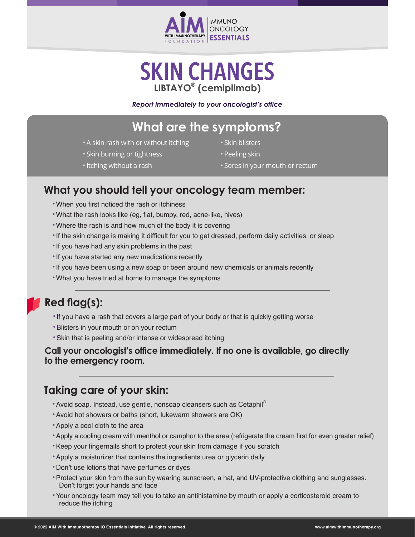

## **SKIN CHANGES LIBTAYO® (cemiplimab)**

*Report immediately to your oncologist's office*

## **What are the symptoms?**

- A skin rash with or without itching
- Skin burning or tightness
- •Itching without a rash
- Skin blisters
- Peeling skin
- Sores in your mouth or rectum

#### **What you should tell your oncology team member:**

- •When you first noticed the rash or itchiness
- •What the rash looks like (eg, flat, bumpy, red, acne-like, hives)
- •Where the rash is and how much of the body it is covering
- •If the skin change is making it difficult for you to get dressed, perform daily activities, or sleep
- •If you have had any skin problems in the past
- •If you have started any new medications recently
- •If you have been using a new soap or been around new chemicals or animals recently
- •What you have tried at home to manage the symptoms

### **Red flag(s):**

- •If you have a rash that covers a large part of your body or that is quickly getting worse
- •Blisters in your mouth or on your rectum
- •Skin that is peeling and/or intense or widespread itching

#### **Call your oncologist's office immediately. If no one is available, go directly to the emergency room.**

#### **Taking care of your skin:**

- Avoid soap. Instead, use gentle, nonsoap cleansers such as Cetaphil®
- •Avoid hot showers or baths (short, lukewarm showers are OK)
- •Apply a cool cloth to the area
- •Apply a cooling cream with menthol or camphor to the area (refrigerate the cream first for even greater relief)
- •Keep your fingernails short to protect your skin from damage if you scratch
- •Apply a moisturizer that contains the ingredients urea or glycerin daily
- •Don't use lotions that have perfumes or dyes
- •Protect your skin from the sun by wearing sunscreen, a hat, and UV-protective clothing and sunglasses. Don't forget your hands and face
- •Your oncology team may tell you to take an antihistamine by mouth or apply a corticosteroid cream to reduce the itching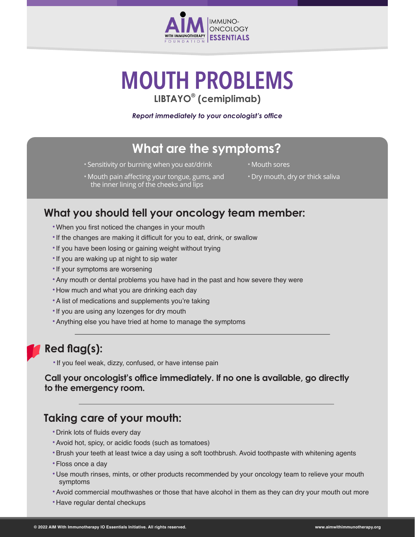

# **MOUTH PROBLEMS LIBTAYO® (cemiplimab)**

*Report immediately to your oncologist's office*

## **What are the symptoms?**

- Sensitivity or burning when you eat/drink
- Mouth sores
- Mouth pain affecting your tongue, gums, and the inner lining of the cheeks and lips
- Dry mouth, dry or thick saliva

#### **What you should tell your oncology team member:**

- •When you first noticed the changes in your mouth
- •If the changes are making it difficult for you to eat, drink, or swallow
- •If you have been losing or gaining weight without trying
- •If you are waking up at night to sip water
- •If your symptoms are worsening
- •Any mouth or dental problems you have had in the past and how severe they were
- •How much and what you are drinking each day
- •A list of medications and supplements you're taking
- If you are using any lozenges for dry mouth
- •Anything else you have tried at home to manage the symptoms

#### **Red flag(s):**

•If you feel weak, dizzy, confused, or have intense pain

**Call your oncologist's office immediately. If no one is available, go directly to the emergency room.**

#### **Taking care of your mouth:**

- •Drink lots of fluids every day
- •Avoid hot, spicy, or acidic foods (such as tomatoes)
- •Brush your teeth at least twice a day using a soft toothbrush. Avoid toothpaste with whitening agents
- •Floss once a day
- •Use mouth rinses, mints, or other products recommended by your oncology team to relieve your mouth symptoms
- •Avoid commercial mouthwashes or those that have alcohol in them as they can dry your mouth out more
- •Have regular dental checkups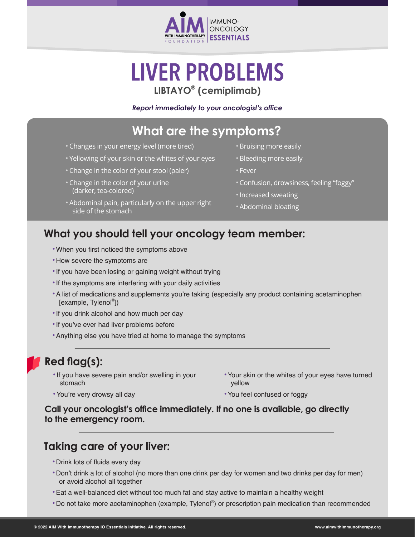

# **LIVER PROBLEMS LIBTAYO® (cemiplimab)**

#### *Report immediately to your oncologist's office*

### **What are the symptoms?**

- Changes in your energy level (more tired)
- Yellowing of your skin or the whites of your eyes
- Change in the color of your stool (paler)
- Change in the color of your urine (darker, tea-colored)
- Abdominal pain, particularly on the upper right side of the stomach
- Bruising more easily
- Bleeding more easily
- Fever
- Confusion, drowsiness, feeling "foggy"
- •Increased sweating
- Abdominal bloating

#### **What you should tell your oncology team member:**

- •When you first noticed the symptoms above
- •How severe the symptoms are
- •If you have been losing or gaining weight without trying
- •If the symptoms are interfering with your daily activities
- •A list of medications and supplements you're taking (especially any product containing acetaminophen [example, Tylenol® ])
- •If you drink alcohol and how much per day
- •If you've ever had liver problems before
- •Anything else you have tried at home to manage the symptoms

#### **Red flag(s):**

- •If you have severe pain and/or swelling in your stomach
- •Your skin or the whites of your eyes have turned yellow

•You're very drowsy all day

•You feel confused or foggy

**Call your oncologist's office immediately. If no one is available, go directly to the emergency room.**

#### **Taking care of your liver:**

- •Drink lots of fluids every day
- •Don't drink a lot of alcohol (no more than one drink per day for women and two drinks per day for men) or avoid alcohol all together
- •Eat a well-balanced diet without too much fat and stay active to maintain a healthy weight
- •Do not take more acetaminophen (example, Tylenol® ) or prescription pain medication than recommended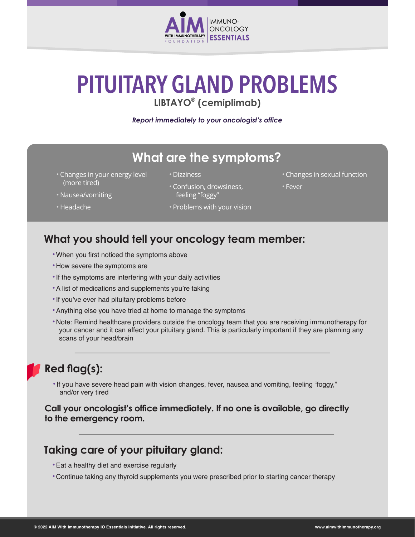

# **PITUITARY GLAND PROBLEMS**

**LIBTAYO® (cemiplimab)**

*Report immediately to your oncologist's office*

## **What are the symptoms?**

- Changes in your energy level (more tired)
- Dizziness
- 
- Confusion, drowsiness, feeling "foggy"
- Changes in sexual function
- Fever
- Nausea/vomiting
- Headache

• Problems with your vision

#### **What you should tell your oncology team member:**

- •When you first noticed the symptoms above
- •How severe the symptoms are
- •If the symptoms are interfering with your daily activities
- •A list of medications and supplements you're taking
- •If you've ever had pituitary problems before
- •Anything else you have tried at home to manage the symptoms
- •Note: Remind healthcare providers outside the oncology team that you are receiving immunotherapy for your cancer and it can affect your pituitary gland. This is particularly important if they are planning any scans of your head/brain

## **Red flag(s):**

•If you have severe head pain with vision changes, fever, nausea and vomiting, feeling "foggy," and/or very tired

**Call your oncologist's office immediately. If no one is available, go directly to the emergency room.**

#### **Taking care of your pituitary gland:**

- •Eat a healthy diet and exercise regularly
- •Continue taking any thyroid supplements you were prescribed prior to starting cancer therapy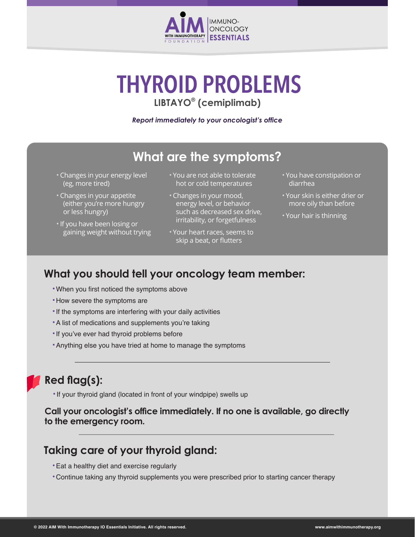

# **THYROID PROBLEMS LIBTAYO® (cemiplimab)**

*Report immediately to your oncologist's office*

## **What are the symptoms?**

- Changes in your energy level (eg, more tired)
- Changes in your appetite (either you're more hungry or less hungry)
- •If you have been losing or gaining weight without trying
- You are not able to tolerate hot or cold temperatures
- Changes in your mood, energy level, or behavior such as decreased sex drive, irritability, or forgetfulness
- Your heart races, seems to skip a beat, or flutters
- You have constipation or diarrhea
- Your skin is either drier or more oily than before
- Your hair is thinning

### **What you should tell your oncology team member:**

- •When you first noticed the symptoms above
- •How severe the symptoms are
- •If the symptoms are interfering with your daily activities
- •A list of medications and supplements you're taking
- •If you've ever had thyroid problems before
- •Anything else you have tried at home to manage the symptoms

### **Red flag(s):**

•If your thyroid gland (located in front of your windpipe) swells up

**Call your oncologist's office immediately. If no one is available, go directly to the emergency room.**

#### **Taking care of your thyroid gland:**

- •Eat a healthy diet and exercise regularly
- •Continue taking any thyroid supplements you were prescribed prior to starting cancer therapy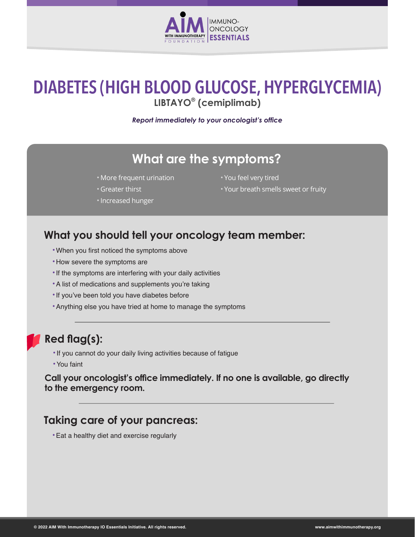

## **DIABETES (HIGH BLOOD GLUCOSE, HYPERGLYCEMIA) LIBTAYO® (cemiplimab)**

*Report immediately to your oncologist's office*

#### **What are the symptoms?**

- More frequent urination
- Greater thirst
- •Increased hunger
- You feel very tired
- Your breath smells sweet or fruity

#### **What you should tell your oncology team member:**

- •When you first noticed the symptoms above
- •How severe the symptoms are
- •If the symptoms are interfering with your daily activities
- •A list of medications and supplements you're taking
- •If you've been told you have diabetes before
- •Anything else you have tried at home to manage the symptoms

#### **Red flag(s):**

- •If you cannot do your daily living activities because of fatigue
- •You faint

**Call your oncologist's office immediately. If no one is available, go directly to the emergency room.**

#### **Taking care of your pancreas:**

•Eat a healthy diet and exercise regularly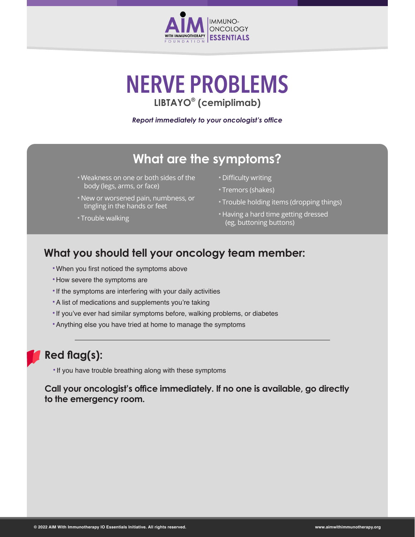

# **NERVE PROBLEMS LIBTAYO® (cemiplimab)**

*Report immediately to your oncologist's office*

### **What are the symptoms?**

- Weakness on one or both sides of the body (legs, arms, or face)
- New or worsened pain, numbness, or tingling in the hands or feet

#### • Trouble walking

- Difficulty writing
- Tremors (shakes)
- Trouble holding items (dropping things)
- Having a hard time getting dressed (eg, buttoning buttons)

#### **What you should tell your oncology team member:**

- •When you first noticed the symptoms above
- •How severe the symptoms are
- •If the symptoms are interfering with your daily activities
- •A list of medications and supplements you're taking
- •If you've ever had similar symptoms before, walking problems, or diabetes
- •Anything else you have tried at home to manage the symptoms

#### **Red flag(s):**

•If you have trouble breathing along with these symptoms

**Call your oncologist's office immediately. If no one is available, go directly to the emergency room.**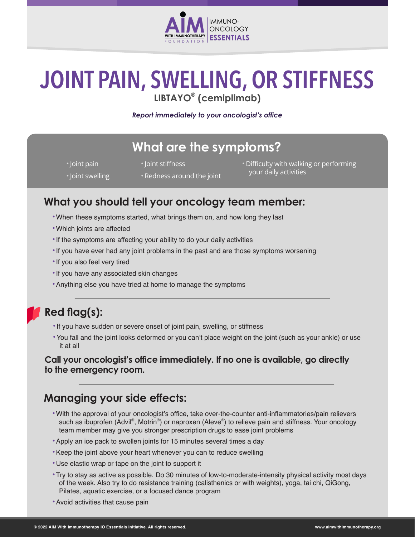

# **JOINT PAIN, SWELLING, OR STIFFNESS LIBTAYO® (cemiplimab)**

*Report immediately to your oncologist's office*

## **What are the symptoms?**

- •Joint pain
- •Joint stiffness

• Difficulty with walking or performing your daily activities

- •Joint swelling
- Redness around the joint

#### **What you should tell your oncology team member:**

- •When these symptoms started, what brings them on, and how long they last
- •Which joints are affected
- •If the symptoms are affecting your ability to do your daily activities
- •If you have ever had any joint problems in the past and are those symptoms worsening
- •If you also feel very tired
- •If you have any associated skin changes
- •Anything else you have tried at home to manage the symptoms

#### **Red flag(s):**

- •If you have sudden or severe onset of joint pain, swelling, or stiffness
- •You fall and the joint looks deformed or you can't place weight on the joint (such as your ankle) or use it at all

#### **Call your oncologist's office immediately. If no one is available, go directly to the emergency room.**

#### **Managing your side effects:**

- •With the approval of your oncologist's office, take over-the-counter anti-inflammatories/pain relievers such as ibuprofen (Advil®, Motrin®) or naproxen (Aleve®) to relieve pain and stiffness. Your oncology team member may give you stronger prescription drugs to ease joint problems
- •Apply an ice pack to swollen joints for 15 minutes several times a day
- •Keep the joint above your heart whenever you can to reduce swelling
- •Use elastic wrap or tape on the joint to support it
- •Try to stay as active as possible. Do 30 minutes of low-to-moderate-intensity physical activity most days of the week. Also try to do resistance training (calisthenics or with weights), yoga, tai chi, QiGong, Pilates, aquatic exercise, or a focused dance program
- •Avoid activities that cause pain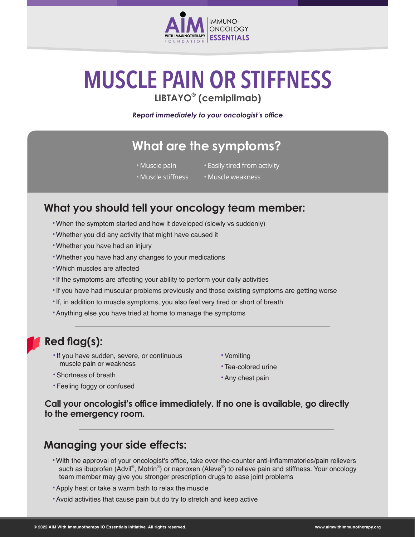

# **MUSCLE PAIN OR STIFFNESS LIBTAYO® (cemiplimab)**

*Report immediately to your oncologist's office*

## **What are the symptoms?**

- Muscle pain
- Easily tired from activity
- Muscle stiffness
- Muscle weakness

#### **What you should tell your oncology team member:**

- •When the symptom started and how it developed (slowly vs suddenly)
- •Whether you did any activity that might have caused it
- •Whether you have had an injury
- •Whether you have had any changes to your medications
- •Which muscles are affected
- •If the symptoms are affecting your ability to perform your daily activities
- •If you have had muscular problems previously and those existing symptoms are getting worse
- •If, in addition to muscle symptoms, you also feel very tired or short of breath
- •Anything else you have tried at home to manage the symptoms

#### **Red flag(s):**

- •If you have sudden, severe, or continuous muscle pain or weakness
- •Shortness of breath
- •Feeling foggy or confused
- •Vomiting
- •Tea-colored urine
- •Any chest pain

**Call your oncologist's office immediately. If no one is available, go directly to the emergency room.**

#### **Managing your side effects:**

- •With the approval of your oncologist's office, take over-the-counter anti-inflammatories/pain relievers such as ibuprofen (Advil®, Motrin®) or naproxen (Aleve®) to relieve pain and stiffness. Your oncology team member may give you stronger prescription drugs to ease joint problems
- •Apply heat or take a warm bath to relax the muscle
- •Avoid activities that cause pain but do try to stretch and keep active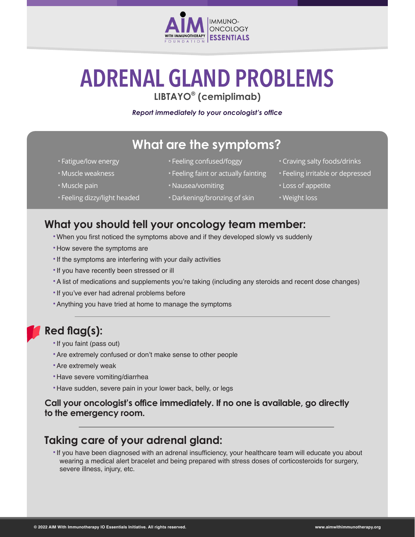

# **ADRENAL GLAND PROBLEMS LIBTAYO® (cemiplimab)**

#### *Report immediately to your oncologist's office*

## **What are the symptoms?**

- Fatigue/low energy
- Muscle weakness
- Muscle pain
- Feeling dizzy/light headed
- Feeling confused/foggy
- Feeling faint or actually fainting
- Nausea/vomiting
- Darkening/bronzing of skin
- Craving salty foods/drinks
- Feeling irritable or depressed
- Loss of appetite
- Weight loss

#### **What you should tell your oncology team member:**

- •When you first noticed the symptoms above and if they developed slowly vs suddenly
- How severe the symptoms are
- •If the symptoms are interfering with your daily activities
- •If you have recently been stressed or ill
- •A list of medications and supplements you're taking (including any steroids and recent dose changes)
- If you've ever had adrenal problems before
- •Anything you have tried at home to manage the symptoms

#### **Red flag(s):**

- •If you faint (pass out)
- •Are extremely confused or don't make sense to other people
- •Are extremely weak
- •Have severe vomiting/diarrhea
- •Have sudden, severe pain in your lower back, belly, or legs

#### **Call your oncologist's office immediately. If no one is available, go directly to the emergency room.**

#### **Taking care of your adrenal gland:**

•If you have been diagnosed with an adrenal insufficiency, your healthcare team will educate you about wearing a medical alert bracelet and being prepared with stress doses of corticosteroids for surgery, severe illness, injury, etc.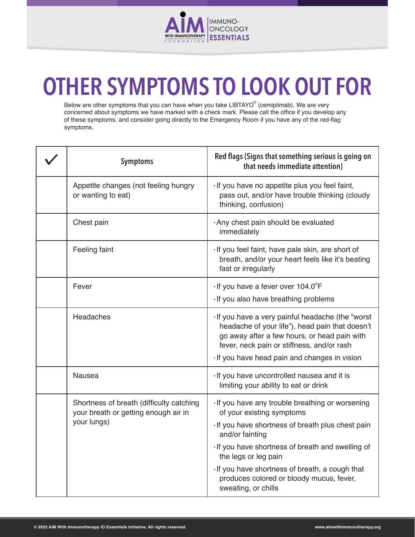

# **OTHER SYMPTOMS TO LOOK OUT FOR**

Below are other symptoms that you can have when you take LIBTAYO® (cemiplimab). We are very concerned about symptoms we have marked with a check mark. Please call the office if you develop any of these symptoms, and consider going directly to the Emergency Room if you have any of the red-flag symptoms.

| <b>Symptoms</b>                                                                                 | Red flags (Signs that something serious is going on<br>that needs immediate attention)                                                                                                                                                                                                                                                                 |
|-------------------------------------------------------------------------------------------------|--------------------------------------------------------------------------------------------------------------------------------------------------------------------------------------------------------------------------------------------------------------------------------------------------------------------------------------------------------|
| Appetite changes (not feeling hungry<br>or wanting to eat)                                      | · If you have no appetite plus you feel faint,<br>pass out, and/or have trouble thinking (cloudy<br>thinking, confusion)                                                                                                                                                                                                                               |
| Chest pain                                                                                      | . Any chest pain should be evaluated<br>immediately                                                                                                                                                                                                                                                                                                    |
| Feeling faint                                                                                   | · If you feel faint, have pale skin, are short of<br>breath, and/or your heart feels like it's beating<br>fast or irregularly                                                                                                                                                                                                                          |
| Fever                                                                                           | $\cdot$ If you have a fever over 104.0°F<br>· If you also have breathing problems                                                                                                                                                                                                                                                                      |
| Headaches                                                                                       | · If you have a very painful headache (the "worst<br>headache of your life"), head pain that doesn't<br>go away after a few hours, or head pain with<br>fever, neck pain or stiffness, and/or rash<br>· If you have head pain and changes in vision                                                                                                    |
| <b>Nausea</b>                                                                                   | · If you have uncontrolled nausea and it is<br>limiting your ability to eat or drink                                                                                                                                                                                                                                                                   |
| Shortness of breath (difficulty catching<br>your breath or getting enough air in<br>your lungs) | · If you have any trouble breathing or worsening<br>of your existing symptoms<br>If you have shortness of breath plus chest pain<br>and/or fainting<br>· If you have shortness of breath and swelling of<br>the legs or leg pain<br>. If you have shortness of breath, a cough that<br>produces colored or bloody mucus, fever,<br>sweating, or chills |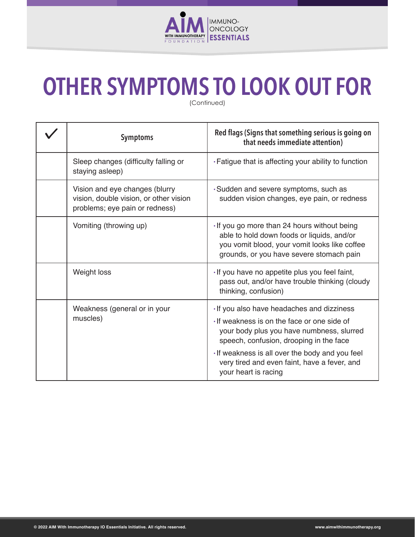

# **OTHER SYMPTOMS TO LOOK OUT FOR**

(Continued)

| <b>Symptoms</b>                                                                                            | Red flags (Signs that something serious is going on<br>that needs immediate attention)                                                                                                                                                                                                                     |
|------------------------------------------------------------------------------------------------------------|------------------------------------------------------------------------------------------------------------------------------------------------------------------------------------------------------------------------------------------------------------------------------------------------------------|
| Sleep changes (difficulty falling or<br>staying asleep)                                                    | . Fatigue that is affecting your ability to function                                                                                                                                                                                                                                                       |
| Vision and eye changes (blurry<br>vision, double vision, or other vision<br>problems; eye pain or redness) | · Sudden and severe symptoms, such as<br>sudden vision changes, eye pain, or redness                                                                                                                                                                                                                       |
| Vomiting (throwing up)                                                                                     | · If you go more than 24 hours without being<br>able to hold down foods or liquids, and/or<br>you vomit blood, your vomit looks like coffee<br>grounds, or you have severe stomach pain                                                                                                                    |
| Weight loss                                                                                                | · If you have no appetite plus you feel faint,<br>pass out, and/or have trouble thinking (cloudy<br>thinking, confusion)                                                                                                                                                                                   |
| Weakness (general or in your<br>muscles)                                                                   | · If you also have headaches and dizziness<br>If weakness is on the face or one side of<br>your body plus you have numbness, slurred<br>speech, confusion, drooping in the face<br>· If weakness is all over the body and you feel<br>very tired and even faint, have a fever, and<br>your heart is racing |